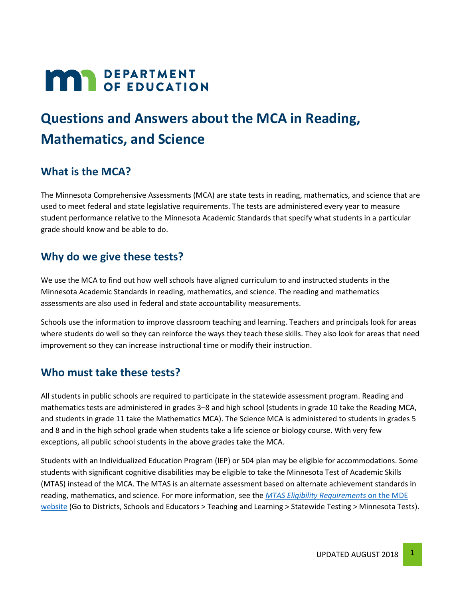# **MAR** DEPARTMENT

# **Questions and Answers about the MCA in Reading, Mathematics, and Science**

## **What is the MCA?**

The Minnesota Comprehensive Assessments (MCA) are state tests in reading, mathematics, and science that are used to meet federal and state legislative requirements. The tests are administered every year to measure student performance relative to the Minnesota Academic Standards that specify what students in a particular grade should know and be able to do.

#### **Why do we give these tests?**

We use the MCA to find out how well schools have aligned curriculum to and instructed students in the Minnesota Academic Standards in reading, mathematics, and science. The reading and mathematics assessments are also used in federal and state accountability measurements.

Schools use the information to improve classroom teaching and learning. Teachers and principals look for areas where students do well so they can reinforce the ways they teach these skills. They also look for areas that need improvement so they can increase instructional time or modify their instruction.

#### **Who must take these tests?**

All students in public schools are required to participate in the statewide assessment program. Reading and mathematics tests are administered in grades 3–8 and high school (students in grade 10 take the Reading MCA, and students in grade 11 take the Mathematics MCA). The Science MCA is administered to students in grades 5 and 8 and in the high school grade when students take a life science or biology course. With very few exceptions, all public school students in the above grades take the MCA.

Students with an Individualized Education Program (IEP) or 504 plan may be eligible for accommodations. Some students with significant cognitive disabilities may be eligible to take the Minnesota Test of Academic Skills (MTAS) instead of the MCA. The MTAS is an alternate assessment based on alternate achievement standards in reading, mathematics, and science. For more information, see the *[MTAS Eligibility Requirements](http://education.mn.gov/MDE/dse/test/mn/)* on the MDE [website](http://education.mn.gov/MDE/dse/test/mn/) (Go to Districts, Schools and Educators > Teaching and Learning > Statewide Testing > Minnesota Tests).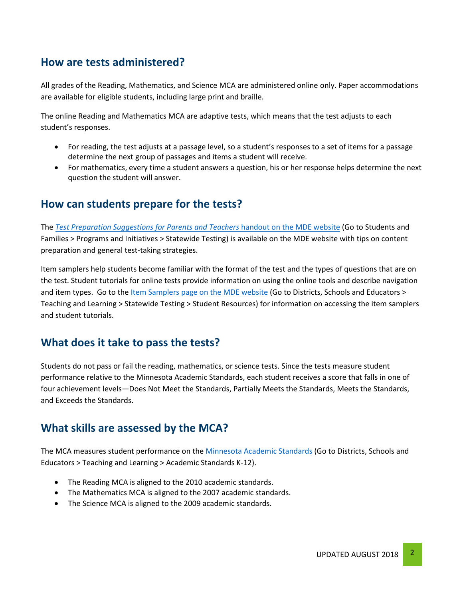## **How are tests administered?**

All grades of the Reading, Mathematics, and Science MCA are administered online only. Paper accommodations are available for eligible students, including large print and braille.

The online Reading and Mathematics MCA are adaptive tests, which means that the test adjusts to each student's responses.

- For reading, the test adjusts at a passage level, so a student's responses to a set of items for a passage determine the next group of passages and items a student will receive.
- For mathematics, every time a student answers a question, his or her response helps determine the next question the student will answer.

#### **How can students prepare for the tests?**

The *[Test Preparation Suggestions for Parents and Teachers](http://education.mn.gov/MDE/fam/tests/)* handout on the MDE website (Go to Students and Families > Programs and Initiatives > Statewide Testing) is available on the MDE website with tips on content preparation and general test-taking strategies.

Item samplers help students become familiar with the format of the test and the types of questions that are on the test. Student tutorials for online tests provide information on using the online tools and describe navigation and item types. Go to the <u>Item Samplers page on the MDE website</u> (Go to Districts, Schools and Educators > Teaching and Learning > Statewide Testing > Student Resources) for information on accessing the item samplers and student tutorials.

#### **What does it take to pass the tests?**

Students do not pass or fail the reading, mathematics, or science tests. Since the tests measure student performance relative to the Minnesota Academic Standards, each student receives a score that falls in one of four achievement levels—Does Not Meet the Standards, Partially Meets the Standards, Meets the Standards, and Exceeds the Standards.

#### **What skills are assessed by the MCA?**

The MCA measures student performance on the [Minnesota Academic Standards](http://education.mn.gov/MDE/dse/stds/) (Go to Districts, Schools and Educators > Teaching and Learning > Academic Standards K-12).

- The Reading MCA is aligned to the 2010 academic standards.
- The Mathematics MCA is aligned to the 2007 academic standards.
- The Science MCA is aligned to the 2009 academic standards.